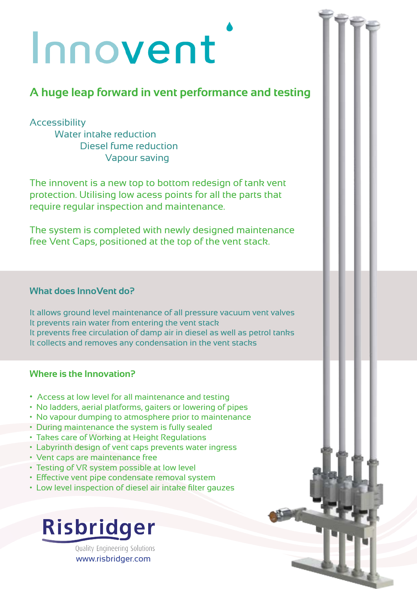# Innovent

### **A huge leap forward in vent performance and testing**

#### Accessibility

Water intake reduction Diesel fume reduction Vapour saving

The innovent is a new top to bottom redesign of tank vent protection. Utilising low acess points for all the parts that require regular inspection and maintenance.

The system is completed with newly designed maintenance free Vent Caps, positioned at the top of the vent stack.

#### **What does InnoVent do?**

It allows ground level maintenance of all pressure vacuum vent valves It prevents rain water from entering the vent stack It prevents free circulation of damp air in diesel as well as petrol tanks It collects and removes any condensation in the vent stacks

#### **Where is the Innovation?**

- Access at low level for all maintenance and testing
- No ladders, aerial platforms, gaiters or lowering of pipes
- No vapour dumping to atmosphere prior to maintenance
- During maintenance the system is fully sealed
- Takes care of Working at Height Regulations
- Labyrinth design of vent caps prevents water ingress
- Vent caps are maintenance free
- Testing of VR system possible at low level
- Effective vent pipe condensate removal system
- Low level inspection of diesel air intake filter gauzes

## Risbridger

Quality Engineering Solutions www.risbridger.com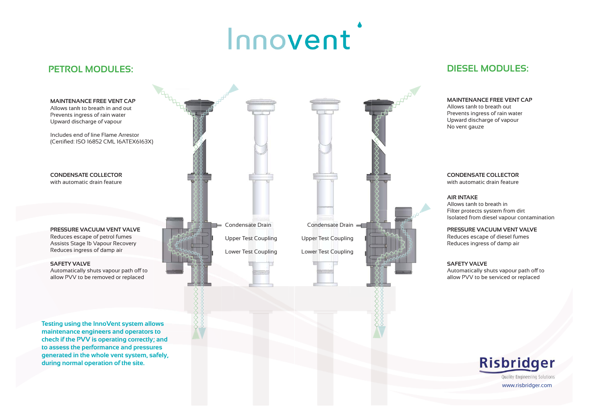# Innovent

### **PETROL MODULES:**



Allows tank to breath out Prevents ingress of rain water Upward discharge of vapour No vent gauze

Automatically shuts vapour path off to allow PVV to be serviced or replaced



Quality Engineering Solutions

www.risbridger.com

#### **MAINTENANCE FREE VENT CAP**

#### **CONDENSATE COLLECTOR**  with automatic drain feature

#### **PRESSURE VACUUM VENT VALVE**

Reduces escape of diesel fumes Reduces ingress of damp air

#### **SAFETY VALVE**

#### **AIR INTAKE**

Allows tank to breath in Filter protects system from dirt Isolated from diesel vapour contamination

### **DIESEL MODULES:**